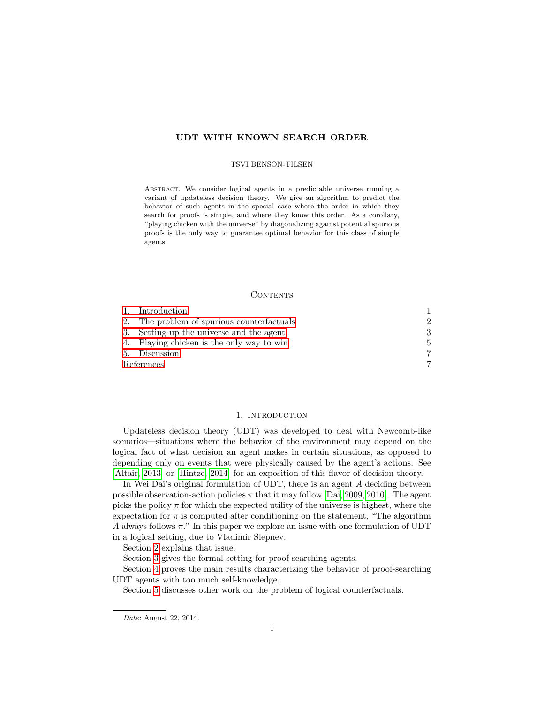# UDT WITH KNOWN SEARCH ORDER

#### TSVI BENSON-TILSEN

Abstract. We consider logical agents in a predictable universe running a variant of updateless decision theory. We give an algorithm to predict the behavior of such agents in the special case where the order in which they search for proofs is simple, and where they know this order. As a corollary, "playing chicken with the universe" by diagonalizing against potential spurious proofs is the only way to guarantee optimal behavior for this class of simple agents.

#### **CONTENTS**

|            | 1. Introduction                            |                             |
|------------|--------------------------------------------|-----------------------------|
|            | 2. The problem of spurious counterfactuals | $\mathcal{D}_{\mathcal{L}}$ |
|            | 3. Setting up the universe and the agent   | 3                           |
|            | 4. Playing chicken is the only way to win  | 5                           |
|            | 5. Discussion                              | 7                           |
| References |                                            |                             |

## 1. INTRODUCTION

<span id="page-0-0"></span>Updateless decision theory (UDT) was developed to deal with Newcomb-like scenarios—situations where the behavior of the environment may depend on the logical fact of what decision an agent makes in certain situations, as opposed to depending only on events that were physically caused by the agent's actions. See [\[Altair, 2013\]](#page-6-2) or [\[Hintze, 2014\]](#page-7-0) for an exposition of this flavor of decision theory.

In Wei Dai's original formulation of UDT, there is an agent  $A$  deciding between possible observation-action policies  $\pi$  that it may follow [\[Dai, 2009,](#page-7-1) [2010\]](#page-7-2). The agent picks the policy  $\pi$  for which the expected utility of the universe is highest, where the expectation for  $\pi$  is computed after conditioning on the statement, "The algorithm" A always follows  $\pi$ ." In this paper we explore an issue with one formulation of UDT in a logical setting, due to Vladimir Slepnev.

Section [2](#page-1-0) explains that issue.

Section [3](#page-2-0) gives the formal setting for proof-searching agents.

Section [4](#page-4-0) proves the main results characterizing the behavior of proof-searching UDT agents with too much self-knowledge.

Section [5](#page-6-0) discusses other work on the problem of logical counterfactuals.

Date: August 22, 2014.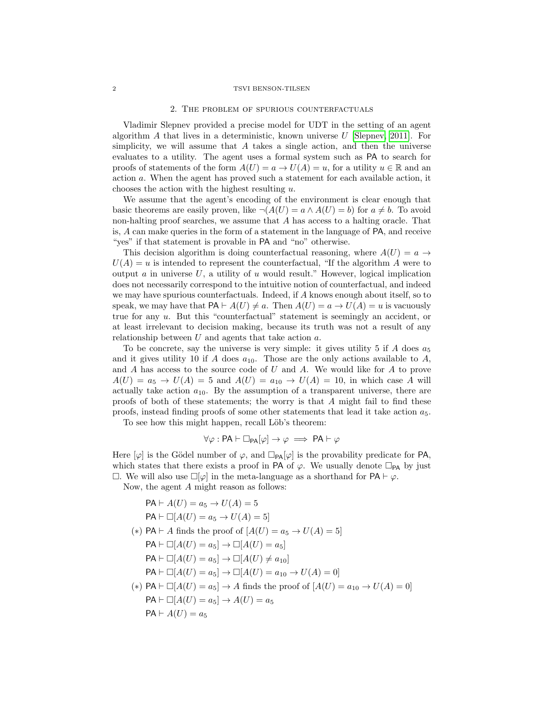#### <span id="page-1-0"></span>2 TSVI BENSON-TILSEN

#### 2. The problem of spurious counterfactuals

Vladimir Slepnev provided a precise model for UDT in the setting of an agent algorithm A that lives in a deterministic, known universe  $U$  [\[Slepnev, 2011\]](#page-7-3). For simplicity, we will assume that  $A$  takes a single action, and then the universe evaluates to a utility. The agent uses a formal system such as PA to search for proofs of statements of the form  $A(U) = a \rightarrow U(A) = u$ , for a utility  $u \in \mathbb{R}$  and an action a. When the agent has proved such a statement for each available action, it chooses the action with the highest resulting  $u$ .

We assume that the agent's encoding of the environment is clear enough that basic theorems are easily proven, like  $\neg(A(U) = a \land A(U) = b)$  for  $a \neq b$ . To avoid non-halting proof searches, we assume that A has access to a halting oracle. That is, A can make queries in the form of a statement in the language of PA, and receive "yes" if that statement is provable in PA and "no" otherwise.

This decision algorithm is doing counterfactual reasoning, where  $A(U) = a \rightarrow$  $U(A) = u$  is intended to represent the counterfactual, "If the algorithm A were to output a in universe  $U$ , a utility of u would result." However, logical implication does not necessarily correspond to the intuitive notion of counterfactual, and indeed we may have spurious counterfactuals. Indeed, if A knows enough about itself, so to speak, we may have that  $PA \vdash A(U) \neq a$ . Then  $A(U) = a \rightarrow U(A) = u$  is vacuously true for any  $u$ . But this "counterfactual" statement is seemingly an accident, or at least irrelevant to decision making, because its truth was not a result of any relationship between  $U$  and agents that take action  $a$ .

To be concrete, say the universe is very simple: it gives utility 5 if  $A$  does  $a_5$ and it gives utility 10 if A does  $a_{10}$ . Those are the only actions available to A, and  $A$  has access to the source code of  $U$  and  $A$ . We would like for  $A$  to prove  $A(U) = a_5 \rightarrow U(A) = 5$  and  $A(U) = a_{10} \rightarrow U(A) = 10$ , in which case A will actually take action  $a_{10}$ . By the assumption of a transparent universe, there are proofs of both of these statements; the worry is that A might fail to find these proofs, instead finding proofs of some other statements that lead it take action  $a_5$ .

To see how this might happen, recall Löb's theorem:

$$
\forall \varphi : PA \vdash \Box_{PA}[\varphi] \rightarrow \varphi \implies PA \vdash \varphi
$$

Here  $[\varphi]$  is the Gödel number of  $\varphi$ , and  $\Box_{PA}[\varphi]$  is the provability predicate for PA, which states that there exists a proof in PA of  $\varphi$ . We usually denote  $\Box_{PA}$  by just  $\Box$ . We will also use  $\Box[\varphi]$  in the meta-language as a shorthand for  $PA \vdash \varphi$ .

Now, the agent A might reason as follows:

 $PA \vdash A(U) = a_5 \rightarrow U(A) = 5$  $PA \vdash \Box[A(U) = a_5 \to U(A) = 5]$ (\*) PA  $\vdash A$  finds the proof of  $[A(U) = a_5 \rightarrow U(A) = 5]$  $PA \vdash \Box[A(U] = a_5] \to \Box[A(U] = a_5]$  $PA \vdash \Box[A(U] = a_5] \to \Box[A(U) \neq a_{10}]$  $PA \vdash \Box[A(U) = a_5] \to \Box[A(U) = a_{10} \to U(A) = 0]$ (\*) PA  $\vdash \Box[A(U] = a_5] \rightarrow A$  finds the proof of  $[A(U] = a_{10} \rightarrow U(A) = 0]$  $PA \vdash \Box[A(U) = a_5] \to A(U) = a_5$  $PA \vdash A(U) = a_5$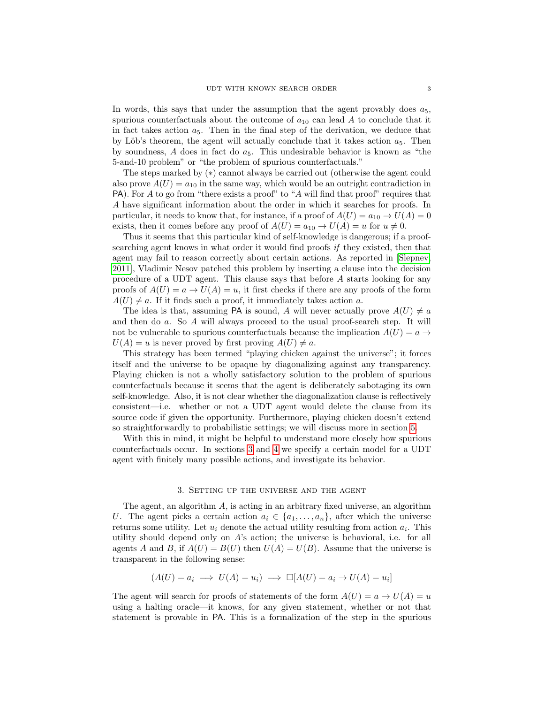In words, this says that under the assumption that the agent provably does  $a_5$ , spurious counterfactuals about the outcome of  $a_{10}$  can lead A to conclude that it in fact takes action  $a_5$ . Then in the final step of the derivation, we deduce that by Löb's theorem, the agent will actually conclude that it takes action  $a_5$ . Then by soundness,  $\tilde{A}$  does in fact do  $a_5$ . This undesirable behavior is known as "the 5-and-10 problem" or "the problem of spurious counterfactuals."

The steps marked by (∗) cannot always be carried out (otherwise the agent could also prove  $A(U) = a_{10}$  in the same way, which would be an outright contradiction in PA). For A to go from "there exists a proof" to "A will find that proof" requires that A have significant information about the order in which it searches for proofs. In particular, it needs to know that, for instance, if a proof of  $A(U) = a_{10} \rightarrow U(A) = 0$ exists, then it comes before any proof of  $A(U) = a_{10} \rightarrow U(A) = u$  for  $u \neq 0$ .

Thus it seems that this particular kind of self-knowledge is dangerous; if a proofsearching agent knows in what order it would find proofs if they existed, then that agent may fail to reason correctly about certain actions. As reported in [\[Slepnev,](#page-7-3) [2011\]](#page-7-3), Vladimir Nesov patched this problem by inserting a clause into the decision procedure of a UDT agent. This clause says that before A starts looking for any proofs of  $A(U) = a \rightarrow U(A) = u$ , it first checks if there are any proofs of the form  $A(U) \neq a$ . If it finds such a proof, it immediately takes action a.

The idea is that, assuming PA is sound, A will never actually prove  $A(U) \neq a$ and then do a. So A will always proceed to the usual proof-search step. It will not be vulnerable to spurious counterfactuals because the implication  $A(U) = a \rightarrow$  $U(A) = u$  is never proved by first proving  $A(U) \neq a$ .

This strategy has been termed "playing chicken against the universe"; it forces itself and the universe to be opaque by diagonalizing against any transparency. Playing chicken is not a wholly satisfactory solution to the problem of spurious counterfactuals because it seems that the agent is deliberately sabotaging its own self-knowledge. Also, it is not clear whether the diagonalization clause is reflectively consistent—i.e. whether or not a UDT agent would delete the clause from its source code if given the opportunity. Furthermore, playing chicken doesn't extend so straightforwardly to probabilistic settings; we will discuss more in section [5.](#page-6-0)

With this in mind, it might be helpful to understand more closely how spurious counterfactuals occur. In sections [3](#page-2-0) and [4](#page-4-0) we specify a certain model for a UDT agent with finitely many possible actions, and investigate its behavior.

#### 3. Setting up the universe and the agent

<span id="page-2-0"></span>The agent, an algorithm A, is acting in an arbitrary fixed universe, an algorithm U. The agent picks a certain action  $a_i \in \{a_1, \ldots, a_n\}$ , after which the universe returns some utility. Let  $u_i$  denote the actual utility resulting from action  $a_i$ . This utility should depend only on  $A$ 's action; the universe is behavioral, i.e. for all agents A and B, if  $A(U) = B(U)$  then  $U(A) = U(B)$ . Assume that the universe is transparent in the following sense:

$$
(A(U) = a_i \implies U(A) = u_i) \implies \Box[A(U) = a_i \to U(A) = u_i]
$$

The agent will search for proofs of statements of the form  $A(U) = a \rightarrow U(A) = u$ using a halting oracle—it knows, for any given statement, whether or not that statement is provable in PA. This is a formalization of the step in the spurious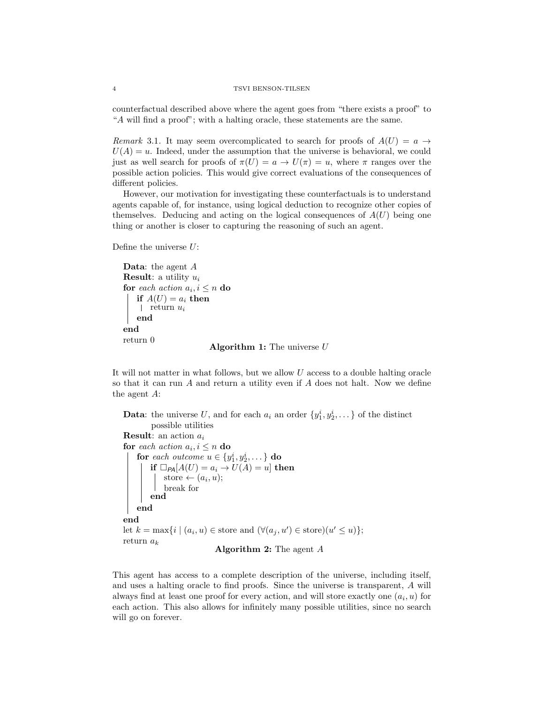counterfactual described above where the agent goes from "there exists a proof" to "A will find a proof"; with a halting oracle, these statements are the same.

Remark 3.1. It may seem overcomplicated to search for proofs of  $A(U) = a \rightarrow$  $U(A) = u$ . Indeed, under the assumption that the universe is behavioral, we could just as well search for proofs of  $\pi(U) = a \to U(\pi) = u$ , where  $\pi$  ranges over the possible action policies. This would give correct evaluations of the consequences of different policies.

However, our motivation for investigating these counterfactuals is to understand agents capable of, for instance, using logical deduction to recognize other copies of themselves. Deducing and acting on the logical consequences of  $A(U)$  being one thing or another is closer to capturing the reasoning of such an agent.

Define the universe  $U$ :

```
Data: the agent A
Result: a utility u_ifor each action a_i, i \leq n do
   if A(U) = a_i then
   return u_iend
end
return 0
                     Algorithm 1: The universe U
```
It will not matter in what follows, but we allow U access to a double halting oracle so that it can run  $A$  and return a utility even if  $A$  does not halt. Now we define the agent A:

**Data:** the universe U, and for each  $a_i$  an order  $\{y_1^i, y_2^i, \dots\}$  of the distinct possible utilities **Result:** an action  $a_i$ for each action  $a_i, i \leq n$  do for each outcome  $u \in \{y_1^i, y_2^i, \dots\}$  do if  $\Box_{PA}[A(U) = a_i \rightarrow U(A) = u]$  then store  $\leftarrow (a_i, u);$ break for end end end let  $k = \max\{i \mid (a_i, u) \in \text{store} \text{ and } (\forall (a_j, u') \in \text{store})(u' \leq u)\};$ return  $a_k$ 

Algorithm 2: The agent A

This agent has access to a complete description of the universe, including itself, and uses a halting oracle to find proofs. Since the universe is transparent, A will always find at least one proof for every action, and will store exactly one  $(a_i, u)$  for each action. This also allows for infinitely many possible utilities, since no search will go on forever.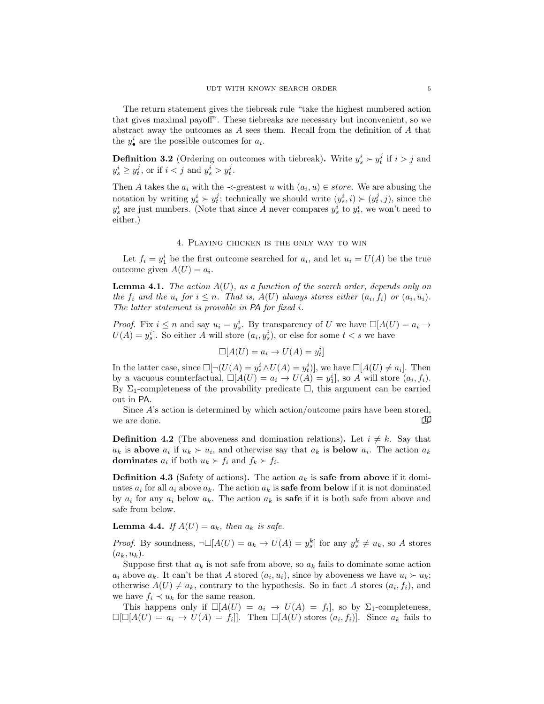The return statement gives the tiebreak rule "take the highest numbered action that gives maximal payoff". These tiebreaks are necessary but inconvenient, so we abstract away the outcomes as A sees them. Recall from the definition of A that the  $y_{\bullet}^{i}$  are the possible outcomes for  $a_{i}$ .

**Definition 3.2** (Ordering on outcomes with tiebreak). Write  $y_s^i > y_t^j$  if  $i > j$  and  $y_s^i \ge y_t^j$ , or if  $i < j$  and  $y_s^i > y_t^j$ .

Then A takes the  $a_i$  with the  $\prec$ -greatest u with  $(a_i, u) \in store$ . We are abusing the notation by writing  $y_s^i \succ y_t^j$ ; technically we should write  $(y_s^i, i) \succ (y_t^j, j)$ , since the  $y_s^i$  are just numbers. (Note that since A never compares  $y_s^i$  to  $y_t^i$ , we won't need to either.)

### 4. Playing chicken is the only way to win

<span id="page-4-0"></span>Let  $f_i = y_1^i$  be the first outcome searched for  $a_i$ , and let  $u_i = U(A)$  be the true outcome given  $A(U) = a_i$ .

<span id="page-4-1"></span>**Lemma 4.1.** The action  $A(U)$ , as a function of the search order, depends only on the  $f_i$  and the  $u_i$  for  $i \leq n$ . That is,  $A(U)$  always stores either  $(a_i, f_i)$  or  $(a_i, u_i)$ . The latter statement is provable in PA for fixed i.

*Proof.* Fix  $i \leq n$  and say  $u_i = y_s^i$ . By transparency of U we have  $\square[A(U) = a_i \rightarrow$  $U(A) = y_s^i$ . So either A will store  $(a_i, y_s^i)$ , or else for some  $t < s$  we have

$$
\square[A(U)=a_i\rightarrow U(A)=y_t^i]
$$

In the latter case, since  $\square[\neg(U(A) = y_s^i \land U(A) = y_t^i)],$  we have  $\square[A(U) \neq a_i].$  Then by a vacuous counterfactual,  $\Box[A(U) = a_i \rightarrow U(A) = y_1^i]$ , so A will store  $(a_i, f_i)$ . By  $\Sigma_1$ -completeness of the provability predicate  $\square$ , this argument can be carried out in PA.

Since A's action is determined by which action/outcome pairs have been stored, we are done.  $\Box$ 

**Definition 4.2** (The aboveness and domination relations). Let  $i \neq k$ . Say that  $a_k$  is above  $a_i$  if  $u_k > u_i$ , and otherwise say that  $a_k$  is below  $a_i$ . The action  $a_k$ **dominates**  $a_i$  if both  $u_k \succ f_i$  and  $f_k \succ f_i$ .

**Definition 4.3** (Safety of actions). The action  $a_k$  is **safe from above** if it dominates  $a_i$  for all  $a_i$  above  $a_k$ . The action  $a_k$  is **safe from below** if it is not dominated by  $a_i$  for any  $a_i$  below  $a_k$ . The action  $a_k$  is **safe** if it is both safe from above and safe from below.

<span id="page-4-2"></span>**Lemma 4.4.** If  $A(U) = a_k$ , then  $a_k$  is safe.

*Proof.* By soundness,  $\neg\Box[A(U) = a_k \rightarrow U(A) = y_s^k]$  for any  $y_s^k \neq u_k$ , so A stores  $(a_k, u_k)$ .

Suppose first that  $a_k$  is not safe from above, so  $a_k$  fails to dominate some action  $a_i$  above  $a_k$ . It can't be that A stored  $(a_i, u_i)$ , since by aboveness we have  $u_i \succ u_k$ ; otherwise  $A(U) \neq a_k$ , contrary to the hypothesis. So in fact A stores  $(a_i, f_i)$ , and we have  $f_i \prec u_k$  for the same reason.

This happens only if  $\Box[A(U) = a_i \rightarrow U(A) = f_i]$ , so by  $\Sigma_1$ -completeness,  $\Box[\Box[A(U)] = a_i \rightarrow U(A) = f_i$ ]. Then  $\Box[A(U)]$  stores  $(a_i, f_i)$ . Since  $a_k$  fails to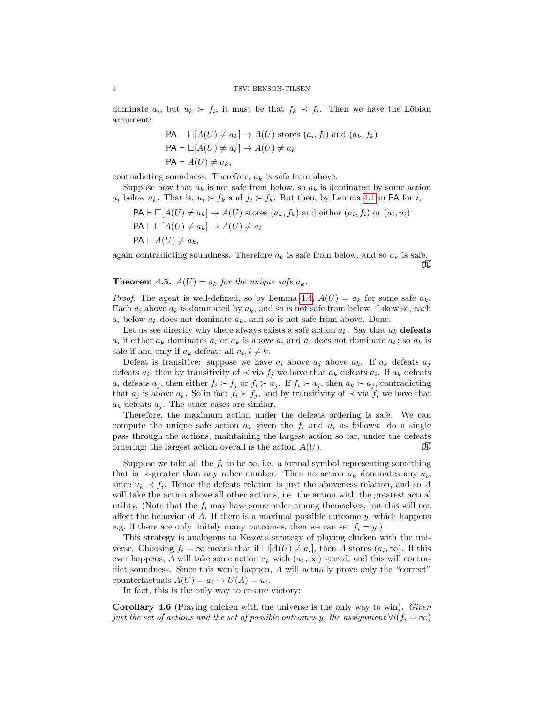dominate  $a_i$ , but  $u_k \succ f_i$ , it must be that  $f_k \prec f_i$ . Then we have the Löbian argument:

$$
\mathsf{PA} \vdash \Box[A(U) \neq a_k] \to A(U) \text{ stores } (a_i, f_i) \text{ and } (a_k, f_k)
$$
  

$$
\mathsf{PA} \vdash \Box[A(U) \neq a_k] \to A(U) \neq a_k
$$
  

$$
\mathsf{PA} \vdash A(U) \neq a_k,
$$

contradicting soundness. Therefore,  $a_k$  is safe from above.

Suppose now that  $a_k$  is not safe from below, so  $a_k$  is dominated by some action  $a_i$  below  $a_k$ . That is,  $u_i \succ f_k$  and  $f_i \succ f_k$ . But then, by Lemma [4.1](#page-4-1) in PA for i,

$$
PA \vdash \Box[A(U) \neq a_k] \to A(U) \text{ stores } (a_k, f_k) \text{ and either } (a_i, f_i) \text{ or } (a_i, u_i)
$$
  

$$
PA \vdash \Box[A(U) \neq a_k] \to A(U) \neq a_k
$$
  

$$
PA \vdash A(U) \neq a_k,
$$

again contradicting soundness. Therefore  $a_k$  is safe from below, and so  $a_k$  is safe. ◫

**Theorem 4.5.**  $A(U) = a_k$  for the unique safe  $a_k$ .

*Proof.* The agent is well-defined, so by Lemma [4.4,](#page-4-2)  $A(U) = a_k$  for some safe  $a_k$ . Each  $a_i$  above  $a_k$  is dominated by  $a_k$ , and so is not safe from below. Likewise, each  $a_i$  below  $a_k$  does not dominate  $a_k$ , and so is not safe from above. Done.

Let us see directly why there always exists a safe action  $a_k$ . Say that  $a_k$  defeats  $a_i$  if either  $a_k$  dominates  $a_i$  or  $a_k$  is above  $a_i$  and  $a_i$  does not dominate  $a_k$ ; so  $a_k$  is safe if and only if  $a_k$  defeats all  $a_i, i \neq k$ .

Defeat is transitive: suppose we have  $a_i$  above  $a_j$  above  $a_k$ . If  $a_k$  defeats  $a_j$ defeats  $a_i$ , then by transitivity of  $\prec$  via  $f_j$  we have that  $a_k$  defeats  $a_i$ . If  $a_k$  defeats  $a_i$  defeats  $a_j$ , then either  $f_i \succ f_j$  or  $f_i \succ a_j$ . If  $f_i \succ a_j$ , then  $a_k \succ a_j$ , contradicting that  $a_j$  is above  $a_k$ . So in fact  $f_i \succ f_j$ , and by transitivity of  $\prec$  via  $f_i$  we have that  $a_k$  defeats  $a_i$ . The other cases are similar.

Therefore, the maximum action under the defeats ordering is safe. We can compute the unique safe action  $a_k$  given the  $f_i$  and  $u_i$  as follows: do a single pass through the actions, maintaining the largest action so far, under the defeats ordering; the largest action overall is the action  $A(U)$ .

Suppose we take all the  $f_i$  to be  $\infty$ , i.e. a formal symbol representing something that is  $\prec$ -greater than any other number. Then no action  $a_k$  dominates any  $a_i$ , since  $u_k \prec f_i$ . Hence the defeats relation is just the aboveness relation, and so A will take the action above all other actions, i.e. the action with the greatest actual utility. (Note that the  $f_i$  may have some order among themselves, but this will not affect the behavior of A. If there is a maximal possible outcome  $y$ , which happens e.g. if there are only finitely many outcomes, then we can set  $f_i = y$ .

This strategy is analogous to Nesov's strategy of playing chicken with the universe. Choosing  $f_i = \infty$  means that if  $\Box[A(U) \neq a_i]$ , then A stores  $(a_i, \infty)$ . If this ever happens, A will take some action  $a_k$  with  $(a_k, \infty)$  stored, and this will contradict soundness. Since this won't happen, A will actually prove only the "correct" counterfactuals  $A(U) = a_i \rightarrow U(A) = u_i$ .

In fact, this is the only way to ensure victory:

Corollary 4.6 (Playing chicken with the universe is the only way to win). Given just the set of actions and the set of possible outcomes y, the assignment  $\forall i(f_i = \infty)$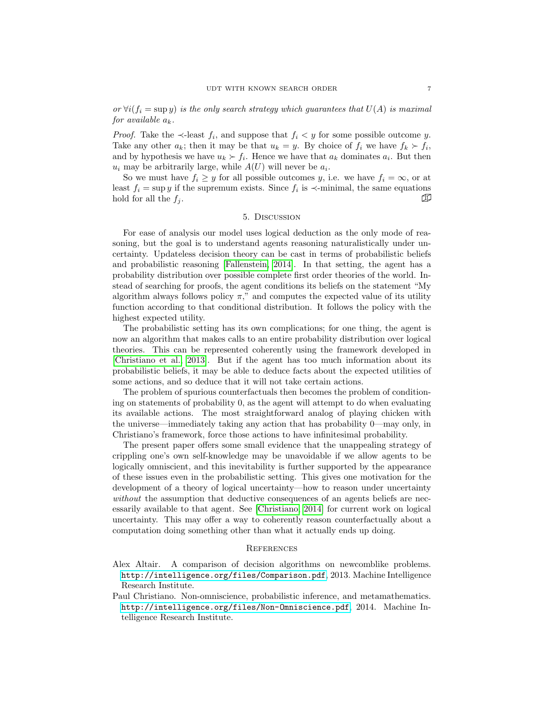or  $\forall i (f_i = \sup y)$  is the only search strategy which guarantees that  $U(A)$  is maximal for available  $a_k$ .

*Proof.* Take the  $\prec$ -least  $f_i$ , and suppose that  $f_i < y$  for some possible outcome y. Take any other  $a_k$ ; then it may be that  $u_k = y$ . By choice of  $f_i$  we have  $f_k \succ f_i$ , and by hypothesis we have  $u_k \succ f_i$ . Hence we have that  $a_k$  dominates  $a_i$ . But then  $u_i$  may be arbitrarily large, while  $A(U)$  will never be  $a_i$ .

So we must have  $f_i \geq y$  for all possible outcomes y, i.e. we have  $f_i = \infty$ , or at least  $f_i = \sup y$  if the supremum exists. Since  $f_i$  is  $\prec$ -minimal, the same equations hold for all the  $f_i$ .

#### 5. Discussion

<span id="page-6-0"></span>For ease of analysis our model uses logical deduction as the only mode of reasoning, but the goal is to understand agents reasoning naturalistically under uncertainty. Updateless decision theory can be cast in terms of probabilistic beliefs and probabilistic reasoning [\[Fallenstein, 2014\]](#page-7-4). In that setting, the agent has a probability distribution over possible complete first order theories of the world. Instead of searching for proofs, the agent conditions its beliefs on the statement "My algorithm always follows policy  $\pi$ ," and computes the expected value of its utility function according to that conditional distribution. It follows the policy with the highest expected utility.

The probabilistic setting has its own complications; for one thing, the agent is now an algorithm that makes calls to an entire probability distribution over logical theories. This can be represented coherently using the framework developed in [\[Christiano et al., 2013\]](#page-7-5). But if the agent has too much information about its probabilistic beliefs, it may be able to deduce facts about the expected utilities of some actions, and so deduce that it will not take certain actions.

The problem of spurious counterfactuals then becomes the problem of conditioning on statements of probability 0, as the agent will attempt to do when evaluating its available actions. The most straightforward analog of playing chicken with the universe—immediately taking any action that has probability 0—may only, in Christiano's framework, force those actions to have infinitesimal probability.

The present paper offers some small evidence that the unappealing strategy of crippling one's own self-knowledge may be unavoidable if we allow agents to be logically omniscient, and this inevitability is further supported by the appearance of these issues even in the probabilistic setting. This gives one motivation for the development of a theory of logical uncertainty—how to reason under uncertainty without the assumption that deductive consequences of an agents beliefs are necessarily available to that agent. See [\[Christiano, 2014\]](#page-6-3) for current work on logical uncertainty. This may offer a way to coherently reason counterfactually about a computation doing something other than what it actually ends up doing.

#### <span id="page-6-1"></span>**REFERENCES**

- <span id="page-6-2"></span>Alex Altair. A comparison of decision algorithms on newcomblike problems. <http://intelligence.org/files/Comparison.pdf>, 2013. Machine Intelligence Research Institute.
- <span id="page-6-3"></span>Paul Christiano. Non-omniscience, probabilistic inference, and metamathematics. <http://intelligence.org/files/Non-Omniscience.pdf>, 2014. Machine Intelligence Research Institute.